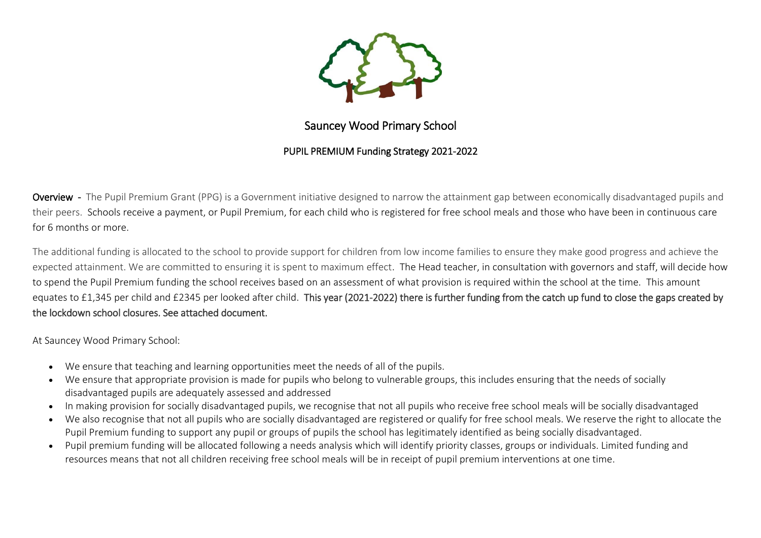

# Sauncey Wood Primary School

## PUPIL PREMIUM Funding Strategy 2021-2022

Overview - The Pupil Premium Grant (PPG) is a Government initiative designed to narrow the attainment gap between economically disadvantaged pupils and their peers. Schools receive a payment, or Pupil Premium, for each child who is registered for free school meals and those who have been in continuous care for 6 months or more.

The additional funding is allocated to the school to provide support for children from low income families to ensure they make good progress and achieve the expected attainment. We are committed to ensuring it is spent to maximum effect. The Head teacher, in consultation with governors and staff, will decide how to spend the Pupil Premium funding the school receives based on an assessment of what provision is required within the school at the time. This amount equates to £1,345 per child and £2345 per looked after child. This year (2021-2022) there is further funding from the catch up fund to close the gaps created by the lockdown school closures. See attached document.

At Sauncey Wood Primary School:

- We ensure that teaching and learning opportunities meet the needs of all of the pupils.
- We ensure that appropriate provision is made for pupils who belong to vulnerable groups, this includes ensuring that the needs of socially disadvantaged pupils are adequately assessed and addressed
- In making provision for socially disadvantaged pupils, we recognise that not all pupils who receive free school meals will be socially disadvantaged
- We also recognise that not all pupils who are socially disadvantaged are registered or qualify for free school meals. We reserve the right to allocate the Pupil Premium funding to support any pupil or groups of pupils the school has legitimately identified as being socially disadvantaged.
- Pupil premium funding will be allocated following a needs analysis which will identify priority classes, groups or individuals. Limited funding and resources means that not all children receiving free school meals will be in receipt of pupil premium interventions at one time.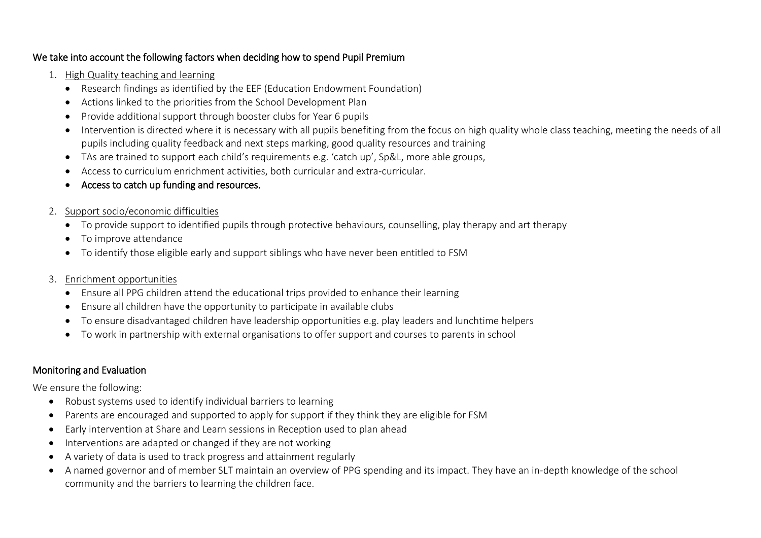#### We take into account the following factors when deciding how to spend Pupil Premium

- 1. High Quality teaching and learning
	- Research findings as identified by the EEF (Education Endowment Foundation)
	- Actions linked to the priorities from the School Development Plan
	- Provide additional support through booster clubs for Year 6 pupils
	- Intervention is directed where it is necessary with all pupils benefiting from the focus on high quality whole class teaching, meeting the needs of all pupils including quality feedback and next steps marking, good quality resources and training
	- TAs are trained to support each child's requirements e.g. 'catch up', Sp&L, more able groups,
	- Access to curriculum enrichment activities, both curricular and extra-curricular.
	- Access to catch up funding and resources.
- 2. Support socio/economic difficulties
	- To provide support to identified pupils through protective behaviours, counselling, play therapy and art therapy
	- To improve attendance
	- To identify those eligible early and support siblings who have never been entitled to FSM

#### 3. Enrichment opportunities

- Ensure all PPG children attend the educational trips provided to enhance their learning
- Ensure all children have the opportunity to participate in available clubs
- To ensure disadvantaged children have leadership opportunities e.g. play leaders and lunchtime helpers
- To work in partnership with external organisations to offer support and courses to parents in school

## Monitoring and Evaluation

We ensure the following:

- Robust systems used to identify individual barriers to learning
- Parents are encouraged and supported to apply for support if they think they are eligible for FSM
- Early intervention at Share and Learn sessions in Reception used to plan ahead
- Interventions are adapted or changed if they are not working
- A variety of data is used to track progress and attainment regularly
- A named governor and of member SLT maintain an overview of PPG spending and its impact. They have an in-depth knowledge of the school community and the barriers to learning the children face.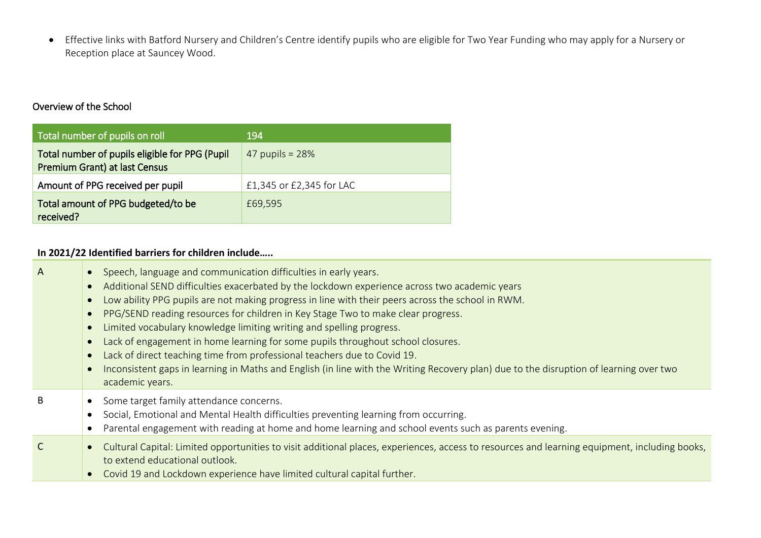Effective links with Batford Nursery and Children's Centre identify pupils who are eligible for Two Year Funding who may apply for a Nursery or Reception place at Sauncey Wood.

## Overview of the School

| Total number of pupils on roll                                                  | 194                      |
|---------------------------------------------------------------------------------|--------------------------|
| Total number of pupils eligible for PPG (Pupil<br>Premium Grant) at last Census | 47 pupils = $28%$        |
| Amount of PPG received per pupil                                                | £1,345 or £2,345 for LAC |
| Total amount of PPG budgeted/to be<br>received?                                 | £69,595                  |

#### **In 2021/22 Identified barriers for children include…..**

| A | • Speech, language and communication difficulties in early years.<br>Additional SEND difficulties exacerbated by the lockdown experience across two academic years<br>Low ability PPG pupils are not making progress in line with their peers across the school in RWM.<br>PPG/SEND reading resources for children in Key Stage Two to make clear progress.<br>Limited vocabulary knowledge limiting writing and spelling progress.<br>Lack of engagement in home learning for some pupils throughout school closures.<br>Lack of direct teaching time from professional teachers due to Covid 19.<br>Inconsistent gaps in learning in Maths and English (in line with the Writing Recovery plan) due to the disruption of learning over two<br>academic years. |
|---|-----------------------------------------------------------------------------------------------------------------------------------------------------------------------------------------------------------------------------------------------------------------------------------------------------------------------------------------------------------------------------------------------------------------------------------------------------------------------------------------------------------------------------------------------------------------------------------------------------------------------------------------------------------------------------------------------------------------------------------------------------------------|
| B | Some target family attendance concerns.<br>Social, Emotional and Mental Health difficulties preventing learning from occurring.<br>Parental engagement with reading at home and home learning and school events such as parents evening.                                                                                                                                                                                                                                                                                                                                                                                                                                                                                                                        |
|   | Cultural Capital: Limited opportunities to visit additional places, experiences, access to resources and learning equipment, including books,<br>to extend educational outlook.<br>Covid 19 and Lockdown experience have limited cultural capital further.                                                                                                                                                                                                                                                                                                                                                                                                                                                                                                      |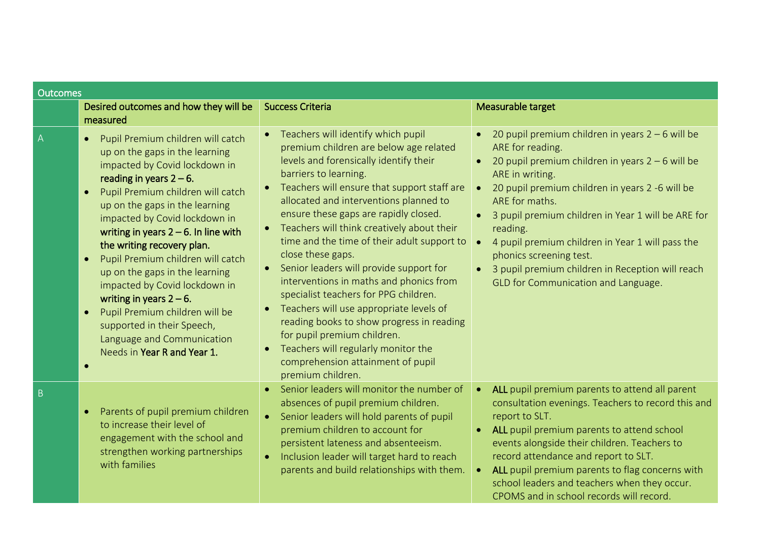| Outcomes |                                                                                                                                                                                                                                                                                                                                                                                                                                                                                                                                                                                                                                            |                                                                                                                                                                                                                                                                                                                                                                                                                                                                                                                                                                                                                                                                                                                                                                                      |                                                                                                                                                                                                                                                                                                                                                                                                                                                                                                                      |
|----------|--------------------------------------------------------------------------------------------------------------------------------------------------------------------------------------------------------------------------------------------------------------------------------------------------------------------------------------------------------------------------------------------------------------------------------------------------------------------------------------------------------------------------------------------------------------------------------------------------------------------------------------------|--------------------------------------------------------------------------------------------------------------------------------------------------------------------------------------------------------------------------------------------------------------------------------------------------------------------------------------------------------------------------------------------------------------------------------------------------------------------------------------------------------------------------------------------------------------------------------------------------------------------------------------------------------------------------------------------------------------------------------------------------------------------------------------|----------------------------------------------------------------------------------------------------------------------------------------------------------------------------------------------------------------------------------------------------------------------------------------------------------------------------------------------------------------------------------------------------------------------------------------------------------------------------------------------------------------------|
|          | Desired outcomes and how they will be<br>measured                                                                                                                                                                                                                                                                                                                                                                                                                                                                                                                                                                                          | <b>Success Criteria</b>                                                                                                                                                                                                                                                                                                                                                                                                                                                                                                                                                                                                                                                                                                                                                              | Measurable target                                                                                                                                                                                                                                                                                                                                                                                                                                                                                                    |
| A        | Pupil Premium children will catch<br>$\bullet$<br>up on the gaps in the learning<br>impacted by Covid lockdown in<br>reading in years $2 - 6$ .<br>Pupil Premium children will catch<br>$\bullet$<br>up on the gaps in the learning<br>impacted by Covid lockdown in<br>writing in years $2 - 6$ . In line with<br>the writing recovery plan.<br>Pupil Premium children will catch<br>$\bullet$<br>up on the gaps in the learning<br>impacted by Covid lockdown in<br>writing in years $2 - 6$ .<br>Pupil Premium children will be<br>$\bullet$<br>supported in their Speech,<br>Language and Communication<br>Needs in Year R and Year 1. | Teachers will identify which pupil<br>$\bullet$<br>premium children are below age related<br>levels and forensically identify their<br>barriers to learning.<br>Teachers will ensure that support staff are<br>allocated and interventions planned to<br>ensure these gaps are rapidly closed.<br>Teachers will think creatively about their<br>time and the time of their adult support to<br>close these gaps.<br>Senior leaders will provide support for<br>interventions in maths and phonics from<br>specialist teachers for PPG children.<br>Teachers will use appropriate levels of<br>$\bullet$<br>reading books to show progress in reading<br>for pupil premium children.<br>Teachers will regularly monitor the<br>comprehension attainment of pupil<br>premium children. | 20 pupil premium children in years $2 - 6$ will be<br>$\bullet$<br>ARE for reading.<br>20 pupil premium children in years $2 - 6$ will be<br>ARE in writing.<br>20 pupil premium children in years 2 -6 will be<br>$\bullet$<br>ARE for maths.<br>3 pupil premium children in Year 1 will be ARE for<br>$\bullet$<br>reading.<br>4 pupil premium children in Year 1 will pass the<br>phonics screening test.<br>3 pupil premium children in Reception will reach<br>$\bullet$<br>GLD for Communication and Language. |
| B        | Parents of pupil premium children<br>$\bullet$<br>to increase their level of<br>engagement with the school and<br>strengthen working partnerships<br>with families                                                                                                                                                                                                                                                                                                                                                                                                                                                                         | Senior leaders will monitor the number of<br>absences of pupil premium children.<br>Senior leaders will hold parents of pupil<br>$\bullet$<br>premium children to account for<br>persistent lateness and absenteeism.<br>Inclusion leader will target hard to reach<br>parents and build relationships with them.                                                                                                                                                                                                                                                                                                                                                                                                                                                                    | ALL pupil premium parents to attend all parent<br>consultation evenings. Teachers to record this and<br>report to SLT.<br>ALL pupil premium parents to attend school<br>events alongside their children. Teachers to<br>record attendance and report to SLT.<br>ALL pupil premium parents to flag concerns with<br>school leaders and teachers when they occur.<br>CPOMS and in school records will record.                                                                                                          |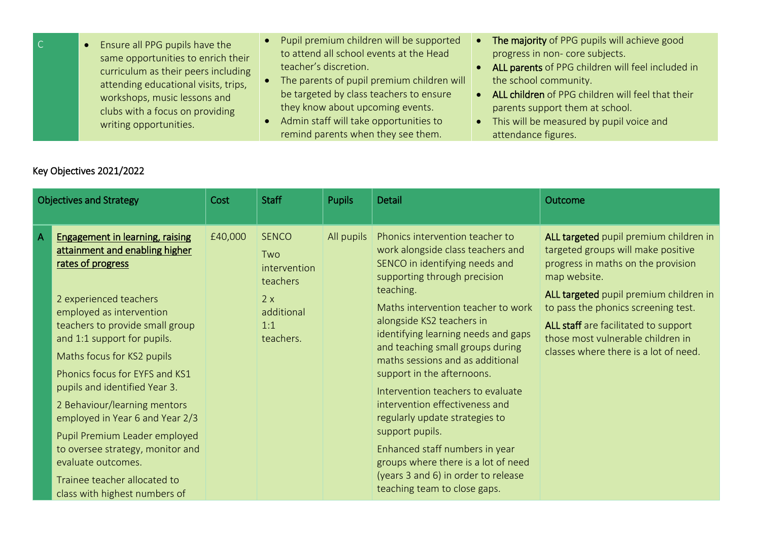| $\overline{C}$ | Ensure all PPG pupils have the       | • Pupil premium children will be supported |           | The majority of PPG pupils will achieve good      |
|----------------|--------------------------------------|--------------------------------------------|-----------|---------------------------------------------------|
|                | same opportunities to enrich their   | to attend all school events at the Head    |           | progress in non-core subjects.                    |
|                | curriculum as their peers including  | teacher's discretion.                      |           | ALL parents of PPG children will feel included in |
|                | attending educational visits, trips, | The parents of pupil premium children will |           | the school community.                             |
|                | workshops, music lessons and         | be targeted by class teachers to ensure    |           | ALL children of PPG children will feel that their |
|                | clubs with a focus on providing      | they know about upcoming events.           |           | parents support them at school.                   |
|                | writing opportunities.               | • Admin staff will take opportunities to   | $\bullet$ | This will be measured by pupil voice and          |
|                |                                      | remind parents when they see them.         |           | attendance figures.                               |

# Key Objectives 2021/2022

| <b>Objectives and Strategy</b> |                                                                                                                                                                                                                                                                                                                                                                                                                                                                                                                                                       | Cost    | <b>Staff</b>                                                                            | <b>Pupils</b> | Detail                                                                                                                                                                                                                                                                                                                                                                                                                                                                                                                                                                                                                                          | Outcome                                                                                                                                                                                                                                                                                                                                   |
|--------------------------------|-------------------------------------------------------------------------------------------------------------------------------------------------------------------------------------------------------------------------------------------------------------------------------------------------------------------------------------------------------------------------------------------------------------------------------------------------------------------------------------------------------------------------------------------------------|---------|-----------------------------------------------------------------------------------------|---------------|-------------------------------------------------------------------------------------------------------------------------------------------------------------------------------------------------------------------------------------------------------------------------------------------------------------------------------------------------------------------------------------------------------------------------------------------------------------------------------------------------------------------------------------------------------------------------------------------------------------------------------------------------|-------------------------------------------------------------------------------------------------------------------------------------------------------------------------------------------------------------------------------------------------------------------------------------------------------------------------------------------|
| A                              | <b>Engagement in learning, raising</b><br>attainment and enabling higher<br>rates of progress<br>2 experienced teachers<br>employed as intervention<br>teachers to provide small group<br>and 1:1 support for pupils.<br>Maths focus for KS2 pupils<br>Phonics focus for EYFS and KS1<br>pupils and identified Year 3.<br>2 Behaviour/learning mentors<br>employed in Year 6 and Year 2/3<br>Pupil Premium Leader employed<br>to oversee strategy, monitor and<br>evaluate outcomes.<br>Trainee teacher allocated to<br>class with highest numbers of | £40,000 | <b>SENCO</b><br>Two<br>intervention<br>teachers<br>2x<br>additional<br>1:1<br>teachers. | All pupils    | Phonics intervention teacher to<br>work alongside class teachers and<br>SENCO in identifying needs and<br>supporting through precision<br>teaching.<br>Maths intervention teacher to work<br>alongside KS2 teachers in<br>identifying learning needs and gaps<br>and teaching small groups during<br>maths sessions and as additional<br>support in the afternoons.<br>Intervention teachers to evaluate<br>intervention effectiveness and<br>regularly update strategies to<br>support pupils.<br>Enhanced staff numbers in year<br>groups where there is a lot of need<br>(years 3 and 6) in order to release<br>teaching team to close gaps. | ALL targeted pupil premium children in<br>targeted groups will make positive<br>progress in maths on the provision<br>map website.<br>ALL targeted pupil premium children in<br>to pass the phonics screening test.<br>ALL staff are facilitated to support<br>those most vulnerable children in<br>classes where there is a lot of need. |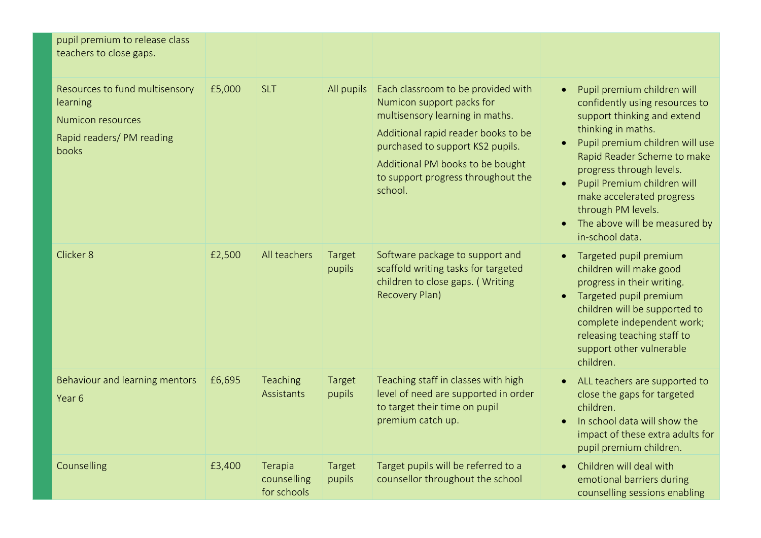| pupil premium to release class<br>teachers to close gaps.                                                    |        |                                       |                  |                                                                                                                                                                                                                                                                    |                                                                                                                                                                                                                                                                                                                                                                                  |
|--------------------------------------------------------------------------------------------------------------|--------|---------------------------------------|------------------|--------------------------------------------------------------------------------------------------------------------------------------------------------------------------------------------------------------------------------------------------------------------|----------------------------------------------------------------------------------------------------------------------------------------------------------------------------------------------------------------------------------------------------------------------------------------------------------------------------------------------------------------------------------|
| Resources to fund multisensory<br>learning<br><b>Numicon resources</b><br>Rapid readers/ PM reading<br>books | £5,000 | <b>SLT</b>                            | All pupils       | Each classroom to be provided with<br>Numicon support packs for<br>multisensory learning in maths.<br>Additional rapid reader books to be<br>purchased to support KS2 pupils.<br>Additional PM books to be bought<br>to support progress throughout the<br>school. | Pupil premium children will<br>$\bullet$<br>confidently using resources to<br>support thinking and extend<br>thinking in maths.<br>Pupil premium children will use<br>Rapid Reader Scheme to make<br>progress through levels.<br>Pupil Premium children will<br>make accelerated progress<br>through PM levels.<br>The above will be measured by<br>$\bullet$<br>in-school data. |
| Clicker 8                                                                                                    | £2,500 | All teachers                          | Target<br>pupils | Software package to support and<br>scaffold writing tasks for targeted<br>children to close gaps. (Writing<br>Recovery Plan)                                                                                                                                       | Targeted pupil premium<br>children will make good<br>progress in their writing.<br>• Targeted pupil premium<br>children will be supported to<br>complete independent work;<br>releasing teaching staff to<br>support other vulnerable<br>children.                                                                                                                               |
| Behaviour and learning mentors<br>Year 6                                                                     | £6,695 | Teaching<br>Assistants                | Target<br>pupils | Teaching staff in classes with high<br>level of need are supported in order<br>to target their time on pupil<br>premium catch up.                                                                                                                                  | ALL teachers are supported to<br>close the gaps for targeted<br>children.<br>In school data will show the<br>impact of these extra adults for<br>pupil premium children.                                                                                                                                                                                                         |
| Counselling                                                                                                  | £3,400 | Terapia<br>counselling<br>for schools | Target<br>pupils | Target pupils will be referred to a<br>counsellor throughout the school                                                                                                                                                                                            | Children will deal with<br>emotional barriers during<br>counselling sessions enabling                                                                                                                                                                                                                                                                                            |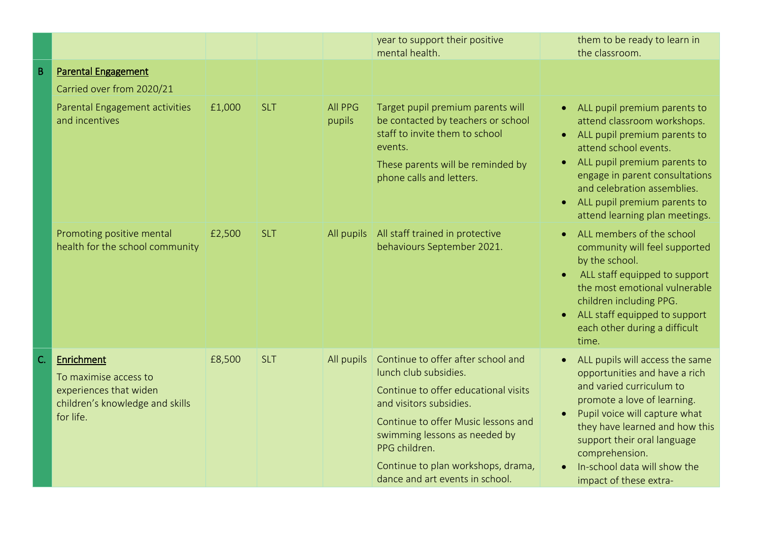|    |                                                                                                               |        |            |                          | year to support their positive<br>mental health.                                                                                                                                                                                                                                                 | them to be ready to learn in<br>the classroom.                                                                                                                                                                                                                                                                    |
|----|---------------------------------------------------------------------------------------------------------------|--------|------------|--------------------------|--------------------------------------------------------------------------------------------------------------------------------------------------------------------------------------------------------------------------------------------------------------------------------------------------|-------------------------------------------------------------------------------------------------------------------------------------------------------------------------------------------------------------------------------------------------------------------------------------------------------------------|
| B  | <b>Parental Engagement</b><br>Carried over from 2020/21                                                       |        |            |                          |                                                                                                                                                                                                                                                                                                  |                                                                                                                                                                                                                                                                                                                   |
|    | Parental Engagement activities<br>and incentives                                                              | £1,000 | <b>SLT</b> | <b>All PPG</b><br>pupils | Target pupil premium parents will<br>be contacted by teachers or school<br>staff to invite them to school<br>events.<br>These parents will be reminded by<br>phone calls and letters.                                                                                                            | ALL pupil premium parents to<br>attend classroom workshops.<br>ALL pupil premium parents to<br>attend school events.<br>ALL pupil premium parents to<br>$\bullet$<br>engage in parent consultations<br>and celebration assemblies.<br>ALL pupil premium parents to<br>$\bullet$<br>attend learning plan meetings. |
|    | Promoting positive mental<br>health for the school community                                                  | £2,500 | <b>SLT</b> | All pupils               | All staff trained in protective<br>behaviours September 2021.                                                                                                                                                                                                                                    | ALL members of the school<br>community will feel supported<br>by the school.<br>ALL staff equipped to support<br>the most emotional vulnerable<br>children including PPG.<br>ALL staff equipped to support<br>each other during a difficult<br>time.                                                              |
| C. | Enrichment<br>To maximise access to<br>experiences that widen<br>children's knowledge and skills<br>for life. | £8,500 | <b>SLT</b> | All pupils               | Continue to offer after school and<br>lunch club subsidies.<br>Continue to offer educational visits<br>and visitors subsidies.<br>Continue to offer Music lessons and<br>swimming lessons as needed by<br>PPG children.<br>Continue to plan workshops, drama,<br>dance and art events in school. | ALL pupils will access the same<br>opportunities and have a rich<br>and varied curriculum to<br>promote a love of learning.<br>Pupil voice will capture what<br>they have learned and how this<br>support their oral language<br>comprehension.<br>In-school data will show the<br>impact of these extra-         |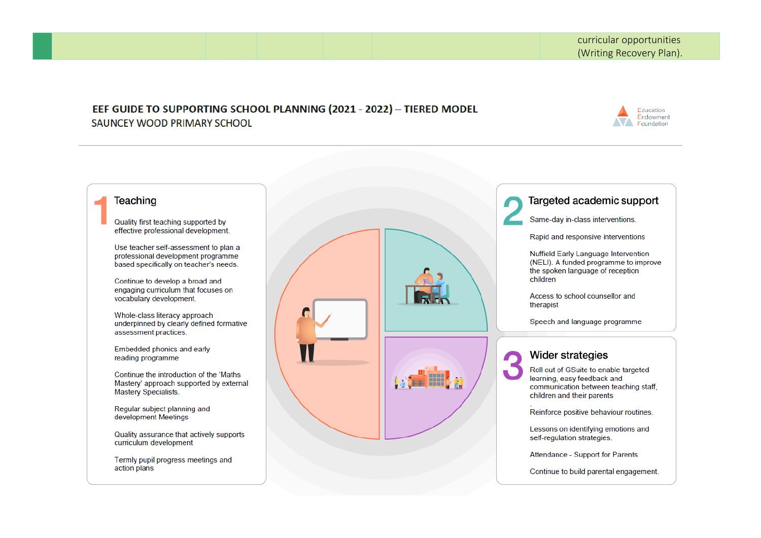#### EEF GUIDE TO SUPPORTING SCHOOL PLANNING (2021 - 2022) - TIERED MODEL SAUNCEY WOOD PRIMARY SCHOOL